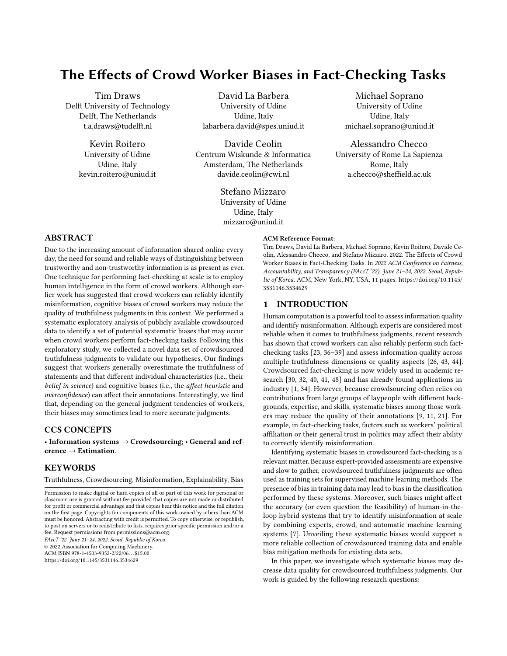# <span id="page-0-0"></span>The Effects of Crowd Worker Biases in Fact-Checking Tasks

Tim Draws Delft University of Technology Delft, The Netherlands t.a.draws@tudelft.nl

> Kevin Roitero University of Udine Udine, Italy kevin.roitero@uniud.it

David La Barbera University of Udine Udine, Italy labarbera.david@spes.uniud.it

Davide Ceolin Centrum Wiskunde & Informatica Amsterdam, The Netherlands davide.ceolin@cwi.nl

> Stefano Mizzaro University of Udine Udine, Italy mizzaro@uniud.it

Michael Soprano University of Udine Udine, Italy michael.soprano@uniud.it

Alessandro Checco University of Rome La Sapienza Rome, Italy a.checco@sheffield.ac.uk

# ABSTRACT

Due to the increasing amount of information shared online every day, the need for sound and reliable ways of distinguishing between trustworthy and non-trustworthy information is as present as ever. One technique for performing fact-checking at scale is to employ human intelligence in the form of crowd workers. Although earlier work has suggested that crowd workers can reliably identify misinformation, cognitive biases of crowd workers may reduce the quality of truthfulness judgments in this context. We performed a systematic exploratory analysis of publicly available crowdsourced data to identify a set of potential systematic biases that may occur when crowd workers perform fact-checking tasks. Following this exploratory study, we collected a novel data set of crowdsourced truthfulness judgments to validate our hypotheses. Our findings suggest that workers generally overestimate the truthfulness of statements and that different individual characteristics (i.e., their belief in science) and cognitive biases (i.e., the affect heuristic and overconfidence) can affect their annotations. Interestingly, we find that, depending on the general judgment tendencies of workers, their biases may sometimes lead to more accurate judgments.

## CCS CONCEPTS

• Information systems  $\rightarrow$  Crowdsourcing; • General and reference  $\rightarrow$  Estimation.

#### **KEYWORDS**

Truthfulness, Crowdsourcing, Misinformation, Explainability, Bias

© 2022 Association for Computing Machinery.

ACM ISBN 978-1-4503-9352-2/22/06. . . \$15.00

<https://doi.org/10.1145/3531146.3534629>

#### ACM Reference Format:

Tim Draws, David La Barbera, Michael Soprano, Kevin Roitero, Davide Ceolin, Alessandro Checco, and Stefano Mizzaro. 2022. The Effects of Crowd Worker Biases in Fact-Checking Tasks. In 2022 ACM Conference on Fairness, Accountability, and Transparency (FAccT '22), June 21-24, 2022, Seoul, Republic of Korea. ACM, New York, NY, USA, [11](#page-10-0) pages. [https://doi.org/10.1145/](https://doi.org/10.1145/3531146.3534629) [3531146.3534629](https://doi.org/10.1145/3531146.3534629)

#### 1 INTRODUCTION

Human computation is a powerful tool to assess information quality and identify misinformation. Although experts are considered most reliable when it comes to truthfulness judgments, recent research has shown that crowd workers can also reliably perform such factchecking tasks [\[23,](#page-10-1) [36](#page-10-2)[–39\]](#page-10-3) and assess information quality across multiple truthfulness dimensions or quality aspects [\[26,](#page-10-4) [43,](#page-10-5) [44\]](#page-10-6). Crowdsourced fact-checking is now widely used in academic research [\[30,](#page-10-7) [32,](#page-10-8) [40,](#page-10-9) [41,](#page-10-10) [48\]](#page-10-11) and has already found applications in industry [\[1,](#page-9-0) [34\]](#page-10-12). However, because crowdsourcing often relies on contributions from large groups of laypeople with different backgrounds, expertise, and skills, systematic biases among those workers may reduce the quality of their annotations [\[9,](#page-9-1) [11,](#page-9-2) [21\]](#page-10-13). For example, in fact-checking tasks, factors such as workers' political affiliation or their general trust in politics may affect their ability to correctly identify misinformation.

Identifying systematic biases in crowdsourced fact-checking is a relevant matter. Because expert-provided assessments are expensive and slow to gather, crowdsourced truthfulness judgments are often used as training sets for supervised machine learning methods. The presence of bias in training data may lead to bias in the classification performed by these systems. Moreover, such biases might affect the accuracy (or even question the feasibility) of human-in-theloop hybrid systems that try to identify misinformation at scale by combining experts, crowd, and automatic machine learning systems [\[7\]](#page-9-3). Unveiling these systematic biases would support a more reliable collection of crowdsourced training data and enable bias mitigation methods for existing data sets.

In this paper, we investigate which systematic biases may decrease data quality for crowdsourced truthfulness judgments. Our work is guided by the following research questions:

Permission to make digital or hard copies of all or part of this work for personal or classroom use is granted without fee provided that copies are not made or distributed for profit or commercial advantage and that copies bear this notice and the full citation on the first page. Copyrights for components of this work owned by others than ACM must be honored. Abstracting with credit is permitted. To copy otherwise, or republish, to post on servers or to redistribute to lists, requires prior specific permission and/or a fee. Request permissions from permissions@acm.org. FAccT '22, June 21–24, 2022, Seoul, Republic of Korea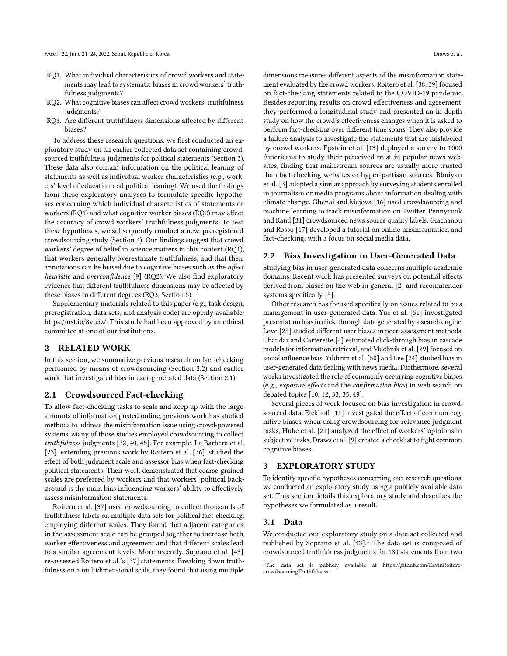- RQ1. What individual characteristics of crowd workers and statements may lead to systematic biases in crowd workers' truthfulness judgments?
- RQ2. What cognitive biases can affect crowd workers' truthfulness judgments?
- RQ3. Are different truthfulness dimensions affected by different biases?

To address these research questions, we first conducted an exploratory study on an earlier collected data set containing crowdsourced truthfulness judgments for political statements (Section [3\)](#page-1-0). These data also contain information on the political leaning of statements as well as individual worker characteristics (e.g., workers' level of education and political leaning). We used the findings from these exploratory analyses to formulate specific hypotheses concerning which individual characteristics of statements or workers (RQ1) and what cognitive worker biases (RQ2) may affect the accuracy of crowd workers' truthfulness judgments. To test these hypotheses, we subsequently conduct a new, preregistered crowdsourcing study (Section [4\)](#page-5-0). Our findings suggest that crowd workers' degree of belief in science matters in this context (RQ1), that workers generally overestimate truthfulness, and that their annotations can be biased due to cognitive biases such as the affect heuristic and overconfidence [\[9\]](#page-9-1) (RQ2). We also find exploratory evidence that different truthfulness dimensions may be affected by these biases to different degrees (RQ3, Section [5\)](#page-6-0).

Supplementary materials related to this paper (e.g., task design, preregistration, data sets, and analysis code) are openly available: [https://osf.io/8yu5z/.](https://osf.io/8yu5z/) This study had been approved by an ethical committee at one of our institutions.

## 2 RELATED WORK

In this section, we summarize previous research on fact-checking performed by means of crowdsourcing (Section [2.2\)](#page-1-1) and earlier work that investigated bias in user-generated data (Section [2.1\)](#page-1-2).

#### <span id="page-1-2"></span>2.1 Crowdsourced Fact-checking

To allow fact-checking tasks to scale and keep up with the large amounts of information posted online, previous work has studied methods to address the misinformation issue using crowd-powered systems. Many of those studies employed crowdsourcing to collect truthfulness judgments [\[32,](#page-10-8) [40,](#page-10-9) [45\]](#page-10-14). For example, La Barbera et al. [\[23\]](#page-10-1), extending previous work by Roitero et al. [\[36\]](#page-10-2), studied the effect of both judgment scale and assessor bias when fact-checking political statements. Their work demonstrated that coarse-grained scales are preferred by workers and that workers' political background is the main bias influencing workers' ability to effectively assess misinformation statements.

Roitero et al. [\[37\]](#page-10-15) used crowdsourcing to collect thousands of truthfulness labels on multiple data sets for political fact-checking, employing different scales. They found that adjacent categories in the assessment scale can be grouped together to increase both worker effectiveness and agreement and that different scales lead to a similar agreement levels. More recently, Soprano et al. [\[43\]](#page-10-5) re-assessed [Roitero et al.'](#page-10-15)s [\[37\]](#page-10-15) statements. Breaking down truthfulness on a multidimensional scale, they found that using multiple

dimensions measures different aspects of the misinformation statement evaluated by the crowd workers. [Roitero et al.](#page-10-3) [\[38,](#page-10-16) [39\]](#page-10-3) focused on fact-checking statements related to the COVID-19 pandemic. Besides reporting results on crowd effectiveness and agreement, they performed a longitudinal study and presented an in-depth study on how the crowd's effectiveness changes when it is asked to perform fact-checking over different time spans. They also provide a failure analysis to investigate the statements that are mislabeled by crowd workers. Epstein et al. [\[13\]](#page-9-4) deployed a survey to 1000 Americans to study their perceived trust in popular news websites, finding that mainstream sources are usually more trusted than fact-checking websites or hyper-partisan sources. Bhuiyan et al. [\[3\]](#page-9-5) adopted a similar approach by surveying students enrolled in journalism or media programs about information dealing with climate change. Ghenai and Mejova [\[16\]](#page-10-17) used crowdsourcing and machine learning to track misinformation on Twitter. Pennycook and Rand [\[31\]](#page-10-18) crowdsourced news source quality labels. Giachanou and Rosso [\[17\]](#page-10-19) developed a tutorial on online misinformation and fact-checking, with a focus on social media data.

#### <span id="page-1-1"></span>2.2 Bias Investigation in User-Generated Data

Studying bias in user-generated data concerns multiple academic domains. Recent work has presented surveys on potential effects derived from biases on the web in general [\[2\]](#page-9-6) and recommender systems specifically [\[5\]](#page-9-7).

Other research has focused specifically on issues related to bias management in user-generated data. Yue et al. [\[51\]](#page-10-20) investigated presentation bias in click-through data generated by a search engine, Love [\[25\]](#page-10-21) studied different user biases in peer-assessment methods, Chandar and Carterette [\[4\]](#page-9-8) estimated click-through bias in cascade models for information retrieval, and Muchnik et al. [\[29\]](#page-10-22) focused on social influence bias. Yildirim et al. [\[50\]](#page-10-23) and Lee [\[24\]](#page-10-24) studied bias in user-generated data dealing with news media. Furthermore, several works investigated the role of commonly occurring cognitive biases (e.g., exposure effects and the confirmation bias) in web search on debated topics [\[10,](#page-9-9) [12,](#page-9-10) [33,](#page-10-25) [35,](#page-10-26) [49\]](#page-10-27).

Several pieces of work focused on bias investigation in crowdsourced data: Eickhoff [\[11\]](#page-9-2) investigated the effect of common cognitive biases when using crowdsourcing for relevance judgment tasks, Hube et al. [\[21\]](#page-10-13) analyzed the effect of workers' opinions in subjective tasks, Draws et al. [\[9\]](#page-9-1) created a checklist to fight common cognitive biases.

## <span id="page-1-0"></span>3 EXPLORATORY STUDY

To identify specific hypotheses concerning our research questions, we conducted an exploratory study using a publicly available data set. This section details this exploratory study and describes the hypotheses we formulated as a result.

#### <span id="page-1-3"></span>3.1 Data

We conducted our exploratory study on a data set collected and published by Soprano et al. [\[43\]](#page-10-5).<sup>[1](#page-0-0)</sup> The data set is composed of crowdsourced truthfulness judgments for 180 statements from two

<sup>1</sup>The data set is publicly available at [https://github.com/KevinRoitero/](https://github.com/KevinRoitero/crowdsourcingTruthfulness) [crowdsourcingTruthfulness.](https://github.com/KevinRoitero/crowdsourcingTruthfulness)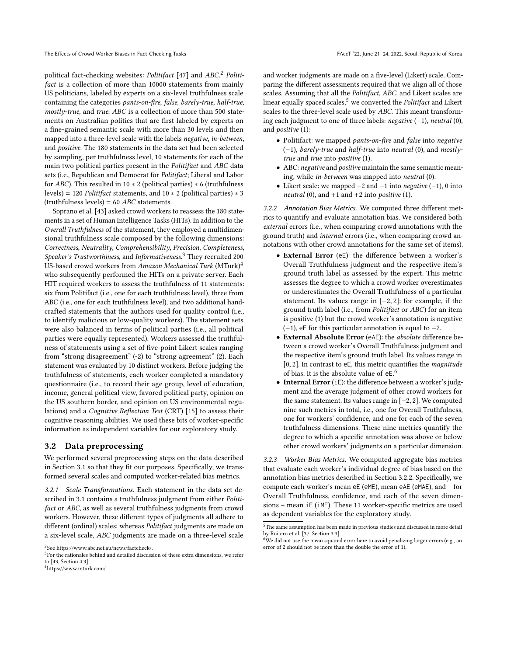political fact-checking websites: Politifact [\[47\]](#page-10-28) and ABC.<sup>[2](#page-0-0)</sup> Politifact is a collection of more than 10000 statements from mainly US politicians, labeled by experts on a six-level truthfulness scale containing the categories pants-on-fire, false, barely-true, half-true, mostly-true, and true. ABC is a collection of more than 500 statements on Australian politics that are first labeled by experts on a fine-grained semantic scale with more than 30 levels and then mapped into a three-level scale with the labels negative, in-between, and positive. The 180 statements in the data set had been selected by sampling, per truthfulness level, 10 statements for each of the main two political parties present in the Politifact and ABC data sets (i.e., Republican and Democrat for Politifact; Liberal and Labor for  $ABC$ ). This resulted in 10  $*$  2 (political parties)  $*$  6 (truthfulness levels) = 120 Politifact statements, and 10 ∗ 2 (political parties) ∗ 3  $(t$ ruthfulness levels) = 60 ABC statements.

Soprano et al. [\[43\]](#page-10-5) asked crowd workers to reassess the 180 statements in a set of Human Intelligence Tasks (HITs). In addition to the Overall Truthfulness of the statement, they employed a multidimensional truthfulness scale composed by the following dimensions: Correctness, Neutrality, Comprehensibility, Precision, Completeness, Speaker's Trustworthiness, and Informativeness.<sup>[3](#page-0-0)</sup> They recruited 200 US-based crowd workers from Amazon Mechanical Turk (MTurk)[4](#page-0-0) who subsequently performed the HITs on a private server. Each HIT required workers to assess the truthfulness of 11 statements: six from Politifact (i.e., one for each truthfulness level), three from ABC (i.e., one for each truthfulness level), and two additional handcrafted statements that the authors used for quality control (i.e., to identify malicious or low-quality workers). The statement sets were also balanced in terms of political parties (i.e., all political parties were equally represented). Workers assessed the truthfulness of statements using a set of five-point Likert scales ranging from "strong disagreement" (-2) to "strong agreement" (2). Each statement was evaluated by 10 distinct workers. Before judging the truthfulness of statements, each worker completed a mandatory questionnaire (i.e., to record their age group, level of education, income, general political view, favored political party, opinion on the US southern border, and opinion on US environmental regulations) and a Cognitive Reflection Test (CRT) [\[15\]](#page-10-29) to assess their cognitive reasoning abilities. We used these bits of worker-specific information as independent variables for our exploratory study.

#### 3.2 Data preprocessing

We performed several preprocessing steps on the data described in Section [3.1](#page-1-3) so that they fit our purposes. Specifically, we transformed several scales and computed worker-related bias metrics.

3.2.1 Scale Transformations. Each statement in the data set described in [3.1](#page-1-3) contains a truthfulness judgment from either Politifact or ABC, as well as several truthfulness judgments from crowd workers. However, these different types of judgments all adhere to different (ordinal) scales: whereas Politifact judgments are made on a six-level scale, ABC judgments are made on a three-level scale

and worker judgments are made on a five-level (Likert) scale. Comparing the different assessments required that we align all of those scales. Assuming that all the Politifact, ABC, and Likert scales are linear equally spaced scales,<sup>[5](#page-0-0)</sup> we converted the *Politifact* and Likert scales to the three-level scale used by ABC. This meant transforming each judgment to one of three labels: negative (−1), neutral (0), and positive (1):

- Politifact: we mapped pants-on-fire and false into negative (−1), barely-true and half-true into neutral (0), and mostlytrue and true into positive (1).
- ABC: negative and positive maintain the same semantic meaning, while in-between was mapped into neutral (0).
- Likert scale: we mapped  $-2$  and  $-1$  into *negative*  $(-1)$ , 0 into neutral (0), and  $+1$  and  $+2$  into positive (1).

<span id="page-2-0"></span>3.2.2 Annotation Bias Metrics. We computed three different metrics to quantify and evaluate annotation bias. We considered both external errors (i.e., when comparing crowd annotations with the ground truth) and internal errors (i.e., when comparing crowd annotations with other crowd annotations for the same set of items).

- External Error (eE): the difference between a worker's Overall Truthfulness judgment and the respective item's ground truth label as assessed by the expert. This metric assesses the degree to which a crowd worker overestimates or underestimates the Overall Truthfulness of a particular statement. Its values range in [−2, <sup>2</sup>]: for example, if the ground truth label (i.e., from Politifact or ABC) for an item is positive (1) but the crowd worker's annotation is negative  $(-1)$ , eE for this particular annotation is equal to  $-2$ .
- External Absolute Error (eAE): the absolute difference between a crowd worker's Overall Truthfulness judgment and the respective item's ground truth label. Its values range in  $[0, 2]$ . In contrast to eE, this metric quantifies the *magnitude* of bias. It is the absolute value of eE. [6](#page-0-0)
- Internal Error (iE): the difference between a worker's judgment and the average judgment of other crowd workers for the same statement. Its values range in [−2, <sup>2</sup>]. We computed nine such metrics in total, i.e., one for Overall Truthfulness, one for workers' confidence, and one for each of the seven truthfulness dimensions. These nine metrics quantify the degree to which a specific annotation was above or below other crowd workers' judgments on a particular dimension.

<span id="page-2-1"></span>3.2.3 Worker Bias Metrics. We computed aggregate bias metrics that evaluate each worker's individual degree of bias based on the annotation bias metrics described in Section [3.2.2.](#page-2-0) Specifically, we compute each worker's mean eE (eME), mean eAE (eMAE), and – for Overall Truthfulness, confidence, and each of the seven dimensions – mean iE (iME). These 11 worker-specific metrics are used as dependent variables for the exploratory study.

<sup>2</sup> See [https://www.abc.net.au/news/factcheck/.](https://www.abc.net.au/news/factcheck/)

 $3$ For the rationales behind and detailed discussion of these extra dimensions, we refer to [\[43,](#page-10-5) Section 4.3].

<sup>4</sup><https://www.mturk.com/>

 ${\rm ^5}$  The same assumption has been made in previous studies and discussed in more detail by Roitero et al. [\[37,](#page-10-15) Section 3.3].

 $6$ We did not use the mean squared error here to avoid penalizing larger errors (e.g., an error of 2 should not be more than the double the error of 1).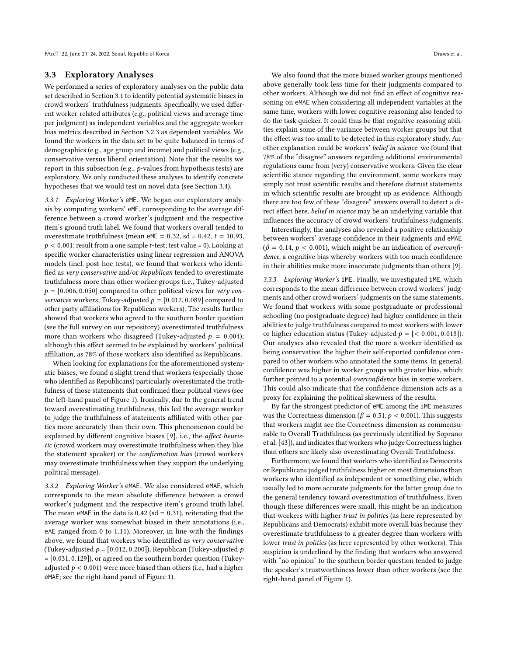#### 3.3 Exploratory Analyses

We performed a series of exploratory analyses on the public data set described in Section [3.1](#page-1-3) to identify potential systematic biases in crowd workers' truthfulness judgments. Specifically, we used different worker-related attributes (e.g., political views and average time per judgment) as independent variables and the aggregate worker bias metrics described in Section [3.2.3](#page-2-1) as dependent variables. We found the workers in the data set to be quite balanced in terms of demographics (e.g., age group and income) and political views (e.g., conservative versus liberal orientation). Note that the results we report in this subsection (e.g., p-values from hypothesis tests) are exploratory. We only conducted these analyses to identify concrete hypotheses that we would test on novel data (see Section [3.4\)](#page-4-0).

<span id="page-3-0"></span>3.3.1 Exploring Worker's eME. We began our exploratory analysis by computing workers' eME, corresponding to the average difference between a crowd worker's judgment and the respective item's ground truth label. We found that workers overall tended to overestimate truthfulness (mean eME =  $0.32$ , sd =  $0.42$ ,  $t = 10.93$ ,  $p < 0.001$ ; result from a one sample t-test; test value = 0). Looking at specific worker characteristics using linear regression and ANOVA models (incl. post-hoc tests), we found that workers who identified as very conservative and/or Republican tended to overestimate truthfulness more than other worker groups (i.e., Tukey-adjusted  $p = [0.006, 0.050]$  compared to other political views for very conservative workers; Tukey-adjusted  $p = [0.012, 0.089]$  compared to other party affiliations for Republican workers). The results further showed that workers who agreed to the southern border question (see the full survey on our repository) overestimated truthfulness more than workers who disagreed (Tukey-adjusted  $p = 0.004$ ); although this effect seemed to be explained by workers' political affiliation, as 78% of those workers also identified as Republicans.

When looking for explanations for the aforementioned systematic biases, we found a slight trend that workers (especially those who identified as Republicans) particularly overestimated the truthfulness of those statements that confirmed their political views (see the left-hand panel of Figure [1\)](#page-4-1). Ironically, due to the general trend toward overestimating truthfulness, this led the average worker to judge the truthfulness of statements affiliated with other parties more accurately than their own. This phenomenon could be explained by different cognitive biases [\[9\]](#page-9-1), i.e., the affect heuristic (crowd workers may overestimate truthfulness when they like the statement speaker) or the confirmation bias (crowd workers may overestimate truthfulness when they support the underlying political message).

3.3.2 Exploring Worker's eMAE. We also considered eMAE, which corresponds to the mean absolute difference between a crowd worker's judgment and the respective item's ground truth label. The mean eMAE in the data is  $0.42$  (sd = 0.31), reiterating that the average worker was somewhat biased in their annotations (i.e., eAE ranged from <sup>0</sup> to <sup>1</sup>.11). Moreover, in line with the findings above, we found that workers who identified as very conservative (Tukey-adjusted  $p = [0.012, 0.200]$ ), Republican (Tukey-adjusted  $p$ <sup>=</sup> [0.031, <sup>0</sup>.129]), or agreed on the southern border question (Tukeyadjusted  $p < 0.001$ ) were more biased than others (i.e., had a higher eMAE; see the right-hand panel of Figure [1\)](#page-4-1).

We also found that the more biased worker groups mentioned above generally took less time for their judgments compared to other workers. Although we did not find an effect of cognitive reasoning on eMAE when considering all independent variables at the same time, workers with lower cognitive reasoning also tended to do the task quicker. It could thus be that cognitive reasoning abilities explain some of the variance between worker groups but that the effect was too small to be detected in this exploratory study. Another explanation could be workers' belief in science: we found that 78% of the "disagree" answers regarding additional environmental regulations came from (very) conservative workers. Given the clear scientific stance regarding the environment, some workers may simply not trust scientific results and therefore distrust statements in which scientific results are brought up as evidence. Although there are too few of these "disagree" answers overall to detect a direct effect here, belief in science may be an underlying variable that influences the accuracy of crowd workers' truthfulness judgments.

Interestingly, the analyses also revealed a positive relationship between workers' average confidence in their judgments and eMAE  $(\beta = 0.14, p < 0.001)$ , which might be an indication of overconfidence, a cognitive bias whereby workers with too much confidence in their abilities make more inaccurate judgments than others [\[9\]](#page-9-1).

3.3.3 Exploring Worker's iME. Finally, we investigated iME, which corresponds to the mean difference between crowd workers' judgments and other crowd workers' judgments on the same statements. We found that workers with some postgraduate or professional schooling (no postgraduate degree) had higher confidence in their abilities to judge truthfulness compared to most workers with lower or higher education status (Tukey-adjusted  $p = \{ < 0.001, 0.018 \}$ ). Our analyses also revealed that the more a worker identified as being conservative, the higher their self-reported confidence compared to other workers who annotated the same items. In general, confidence was higher in worker groups with greater bias, which further pointed to a potential overconfidence bias in some workers. This could also indicate that the confidence dimension acts as a proxy for explaining the political skewness of the results.

By far the strongest predictor of eME among the iME measures was the Correctness dimension ( $\beta = 0.51, p < 0.001$ ). This suggests that workers might see the Correctness dimension as commensurable to Overall Truthfulness (as previously identified by Soprano et al. [\[43\]](#page-10-5)), and indicates that workers who judge Correctness higher than others are likely also overestimating Overall Truthfulness.

Furthermore, we found that workers who identified as Democrats or Republicans judged truthfulness higher on most dimensions than workers who identified as independent or something else, which usually led to more accurate judgments for the latter group due to the general tendency toward overestimation of truthfulness. Even though these differences were small, this might be an indication that workers with higher trust in politics (as here represented by Republicans and Democrats) exhibit more overall bias because they overestimate truthfulness to a greater degree than workers with lower trust in politics (as here represented by other workers). This suspicion is underlined by the finding that workers who answered with "no opinion" to the southern border question tended to judge the speaker's trustworthiness lower than other workers (see the right-hand panel of Figure [1\)](#page-4-1).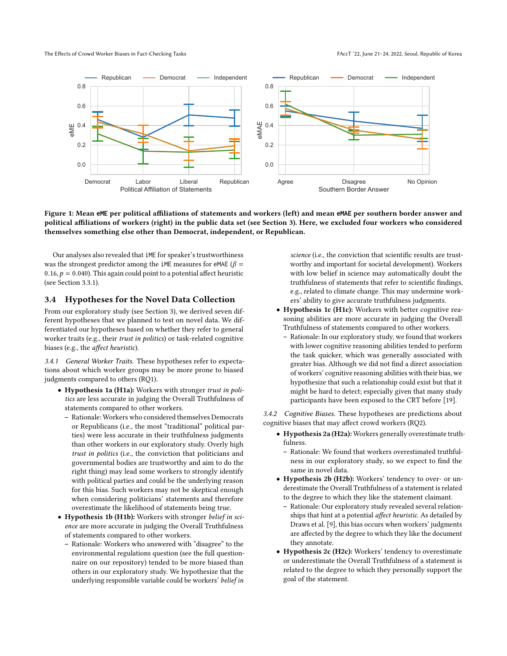<span id="page-4-1"></span>

Figure 1: Mean **eME** per political affiliations of statements and workers (left) and mean **eMAE** per southern border answer and political affiliations of workers (right) in the public data set (see Section [3\)](#page-1-0). Here, we excluded four workers who considered themselves something else other than Democrat, independent, or Republican.

Our analyses also revealed that iME for speaker's trustworthiness was the strongest predictor among the iME measures for eMAE ( $\beta$  = 0.16,  $p = 0.040$ ). This again could point to a potential affect heuristic (see Section [3.3.1\)](#page-3-0).

## <span id="page-4-0"></span>3.4 Hypotheses for the Novel Data Collection

From our exploratory study (see Section [3\)](#page-1-0), we derived seven different hypotheses that we planned to test on novel data. We differentiated our hypotheses based on whether they refer to general worker traits (e.g., their trust in politics) or task-related cognitive biases (e.g., the affect heuristic).

3.4.1 General Worker Traits. These hypotheses refer to expectations about which worker groups may be more prone to biased judgments compared to others (RQ1).

- Hypothesis 1a (H1a): Workers with stronger trust in politics are less accurate in judging the Overall Truthfulness of statements compared to other workers.
	- Rationale: Workers who considered themselves Democrats or Republicans (i.e., the most "traditional" political parties) were less accurate in their truthfulness judgments than other workers in our exploratory study. Overly high trust in politics (i.e., the conviction that politicians and governmental bodies are trustworthy and aim to do the right thing) may lead some workers to strongly identify with political parties and could be the underlying reason for this bias. Such workers may not be skeptical enough when considering politicians' statements and therefore overestimate the likelihood of statements being true.
- Hypothesis 1b (H1b): Workers with stronger belief in science are more accurate in judging the Overall Truthfulness of statements compared to other workers.
	- Rationale: Workers who answered with "disagree" to the environmental regulations question (see the full questionnaire on our repository) tended to be more biased than others in our exploratory study. We hypothesize that the underlying responsible variable could be workers' belief in

science (i.e., the conviction that scientific results are trustworthy and important for societal development). Workers with low belief in science may automatically doubt the truthfulness of statements that refer to scientific findings, e.g., related to climate change. This may undermine workers' ability to give accurate truthfulness judgments.

- Hypothesis 1c (H1c): Workers with better cognitive reasoning abilities are more accurate in judging the Overall Truthfulness of statements compared to other workers.
- Rationale: In our exploratory study, we found that workers with lower cognitive reasoning abilities tended to perform the task quicker, which was generally associated with greater bias. Although we did not find a direct association of workers' cognitive reasoning abilities with their bias, we hypothesize that such a relationship could exist but that it might be hard to detect; especially given that many study participants have been exposed to the CRT before [\[19\]](#page-10-30).

3.4.2 Cognitive Biases. These hypotheses are predictions about cognitive biases that may affect crowd workers (RQ2).

- Hypothesis 2a (H2a): Workers generally overestimate truthfulness.
	- Rationale: We found that workers overestimated truthfulness in our exploratory study, so we expect to find the same in novel data.
- Hypothesis 2b (H2b): Workers' tendency to over- or underestimate the Overall Truthfulness of a statement is related to the degree to which they like the statement claimant.
	- Rationale: Our exploratory study revealed several relationships that hint at a potential affect heuristic. As detailed by Draws et al. [\[9\]](#page-9-1), this bias occurs when workers' judgments are affected by the degree to which they like the document they annotate.
- Hypothesis 2c (H2c): Workers' tendency to overestimate or underestimate the Overall Truthfulness of a statement is related to the degree to which they personally support the goal of the statement.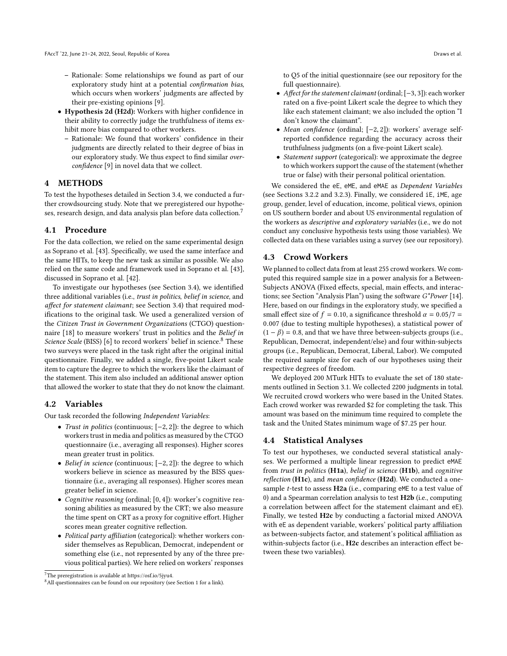- Rationale: Some relationships we found as part of our exploratory study hint at a potential confirmation bias, which occurs when workers' judgments are affected by their pre-existing opinions [\[9\]](#page-9-1).
- Hypothesis 2d (H2d): Workers with higher confidence in their ability to correctly judge the truthfulness of items exhibit more bias compared to other workers.
	- Rationale: We found that workers' confidence in their judgments are directly related to their degree of bias in our exploratory study. We thus expect to find similar overconfidence [\[9\]](#page-9-1) in novel data that we collect.

## <span id="page-5-0"></span>4 METHODS

To test the hypotheses detailed in Section [3.4,](#page-4-0) we conducted a further crowdsourcing study. Note that we preregistered our hypotheses, research design, and data analysis plan before data collection.[7](#page-0-0)

## 4.1 Procedure

For the data collection, we relied on the same experimental design as Soprano et al. [\[43\]](#page-10-5). Specifically, we used the same interface and the same HITs, to keep the new task as similar as possible. We also relied on the same code and framework used in Soprano et al. [\[43\]](#page-10-5), discussed in Soprano et al. [\[42\]](#page-10-31).

To investigate our hypotheses (see Section [3.4\)](#page-4-0), we identified three additional variables (i.e., trust in politics, belief in science, and affect for statement claimant; see Section [3.4\)](#page-4-0) that required modifications to the original task. We used a generalized version of the Citizen Trust in Government Organizations (CTGO) questionnaire [\[18\]](#page-10-32) to measure workers' trust in politics and the Belief in Science Scale (BISS) [\[6\]](#page-9-11) to record workers' belief in science.<sup>[8](#page-0-0)</sup> These two surveys were placed in the task right after the original initial questionnaire. Finally, we added a single, five-point Likert scale item to capture the degree to which the workers like the claimant of the statement. This item also included an additional answer option that allowed the worker to state that they do not know the claimant.

#### 4.2 Variables

Our task recorded the following Independent Variables:

- Trust in politics (continuous; [−2, <sup>2</sup>]): the degree to which workers trust in media and politics as measured by the CTGO questionnaire (i.e., averaging all responses). Higher scores mean greater trust in politics.
- Belief in science (continuous; [−2, <sup>2</sup>]): the degree to which workers believe in science as measured by the BISS questionnaire (i.e., averaging all responses). Higher scores mean greater belief in science.
- Cognitive reasoning (ordinal; [0, <sup>4</sup>]): worker's cognitive reasoning abilities as measured by the CRT; we also measure the time spent on CRT as a proxy for cognitive effort. Higher scores mean greater cognitive reflection.
- Political party affiliation (categorical): whether workers consider themselves as Republican, Democrat, independent or something else (i.e., not represented by any of the three previous political parties). We here relied on workers' responses

to Q5 of the initial questionnaire (see our repository for the full questionnaire).

- Affect for the statement claimant (ordinal; [−3, <sup>3</sup>]): each worker rated on a five-point Likert scale the degree to which they like each statement claimant; we also included the option "I don't know the claimant".
- Mean confidence (ordinal; [−2, <sup>2</sup>]): workers' average selfreported confidence regarding the accuracy across their truthfulness judgments (on a five-point Likert scale).
- Statement support (categorical): we approximate the degree to which workers support the cause of the statement (whether true or false) with their personal political orientation.

We considered the eE, eME, and eMAE as Dependent Variables (see Sections [3.2.2](#page-2-0) and [3.2.3\)](#page-2-1). Finally, we considered iE, iME, age group, gender, level of education, income, political views, opinion on US southern border and about US environmental regulation of the workers as descriptive and exploratory variables (i.e., we do not conduct any conclusive hypothesis tests using those variables). We collected data on these variables using a survey (see our repository).

## 4.3 Crowd Workers

We planned to collect data from at least 255 crowd workers. We computed this required sample size in a power analysis for a Between-Subjects ANOVA (Fixed effects, special, main effects, and interactions; see Section "Analysis Plan") using the software G\*Power [\[14\]](#page-10-33). Here, based on our findings in the exploratory study, we specified a small effect size of  $f = 0.10$ , a significance threshold  $\alpha = 0.05/7 =$ <sup>0</sup>.<sup>007</sup> (due to testing multiple hypotheses), a statistical power of  $(1 - \beta) = 0.8$ , and that we have three between-subjects groups (i.e., Republican, Democrat, independent/else) and four within-subjects groups (i.e., Republican, Democrat, Liberal, Labor). We computed the required sample size for each of our hypotheses using their respective degrees of freedom.

We deployed 200 MTurk HITs to evaluate the set of 180 statements outlined in Section [3.1.](#page-1-3) We collected 2200 judgments in total. We recruited crowd workers who were based in the United States. Each crowd worker was rewarded \$2 for completing the task. This amount was based on the minimum time required to complete the task and the United States minimum wage of \$7.<sup>25</sup> per hour.

#### 4.4 Statistical Analyses

To test our hypotheses, we conducted several statistical analyses. We performed a multiple linear regression to predict eMAE from trust in politics  $(H1a)$ , belief in science  $(H1b)$ , and cognitive reflection (H1c), and mean confidence (H2d). We conducted a onesample  $t$ -test to assess  $H2a$  (i.e., comparing eME to a test value of 0) and a Spearman correlation analysis to test H2b (i.e., computing a correlation between affect for the statement claimant and eE). Finally, we tested H2c by conducting a factorial mixed ANOVA with eE as dependent variable, workers' political party affiliation as between-subjects factor, and statement's political affiliation as within-subjects factor (i.e., H2c describes an interaction effect between these two variables).

<sup>7</sup>The preregistration is available at [https://osf.io/5jyu4.](https://osf.io/5jyu4)

<sup>&</sup>lt;sup>8</sup> All questionnaires can be found on our repository (see Section 1 for a link).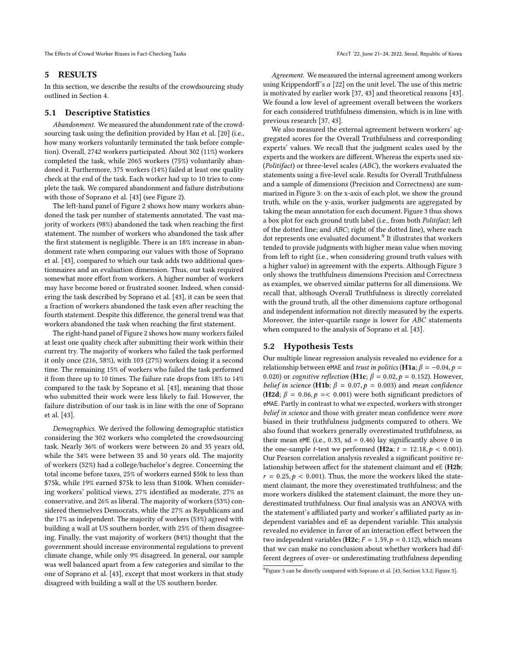The Effects of Crowd Worker Biases in Fact-Checking Tasks FACCT '22, June 21–24, 2022, Seoul, Republic of Korea

#### <span id="page-6-0"></span>5 RESULTS

In this section, we describe the results of the crowdsourcing study outlined in Section [4.](#page-5-0)

## 5.1 Descriptive Statistics

Abandonment. We measured the abandonment rate of the crowdsourcing task using the definition provided by Han et al. [\[20\]](#page-10-34) (i.e., how many workers voluntarily terminated the task before completion). Overall, 2742 workers participated. About 302 (11%) workers completed the task, while 2065 workers (75%) voluntarily abandoned it. Furthermore, 375 workers (14%) failed at least one quality check at the end of the task. Each worker had up to 10 tries to complete the task. We compared abandonment and failure distributions with those of Soprano et al. [\[43\]](#page-10-5) (see Figure [2\)](#page-7-0).

The left-hand panel of Figure [2](#page-7-0) shows how many workers abandoned the task per number of statements annotated. The vast majority of workers (98%) abandoned the task when reaching the first statement. The number of workers who abandoned the task after the first statement is negligible. There is an 18% increase in abandonment rate when comparing our values with those of Soprano et al. [\[43\]](#page-10-5), compared to which our task adds two additional questionnaires and an evaluation dimension. Thus, our task required somewhat more effort from workers. A higher number of workers may have become bored or frustrated sooner. Indeed, when considering the task described by Soprano et al. [\[43\]](#page-10-5), it can be seen that a fraction of workers abandoned the task even after reaching the fourth statement. Despite this difference, the general trend was that workers abandoned the task when reaching the first statement.

The right-hand panel of Figure [2](#page-7-0) shows how many workers failed at least one quality check after submitting their work within their current try. The majority of workers who failed the task performed it only once (216, 58%), with 103 (27%) workers doing it a second time. The remaining 15% of workers who failed the task performed it from three up to 10 times. The failure rate drops from 18% to 14% compared to the task by Soprano et al. [\[43\]](#page-10-5), meaning that those who submitted their work were less likely to fail. However, the failure distribution of our task is in line with the one of Soprano et al. [\[43\]](#page-10-5).

Demographics. We derived the following demographic statistics considering the 302 workers who completed the crowdsourcing task. Nearly 36% of workers were between 26 and 35 years old, while the 34% were between 35 and 50 years old. The majority of workers (52%) had a college/bachelor's degree. Concerning the total income before taxes, 25% of workers earned \$50k to less than \$75k, while 19% earned \$75k to less than \$100k. When considering workers' political views, 27% identified as moderate, 27% as conservative, and 26% as liberal. The majority of workers (53%) considered themselves Democrats, while the 27% as Republicans and the 17% as independent. The majority of workers (53%) agreed with building a wall at US southern border, with 25% of them disagreeing. Finally, the vast majority of workers (84%) thought that the government should increase environmental regulations to prevent climate change, while only 9% disagreed. In general, our sample was well balanced apart from a few categories and similar to the one of Soprano et al. [\[43\]](#page-10-5), except that most workers in that study disagreed with building a wall at the US southern border.

Agreement. We measured the internal agreement among workers using Krippendorff's  $\alpha$  [\[22\]](#page-10-35) on the unit level. The use of this metric is motivated by earlier work [\[37,](#page-10-15) [43\]](#page-10-5) and theoretical reasons [\[43\]](#page-10-5). We found a low level of agreement overall between the workers for each considered truthfulness dimension, which is in line with previous research [\[37,](#page-10-15) [43\]](#page-10-5).

We also measured the external agreement between workers' aggregated scores for the Overall Truthfulness and corresponding experts' values. We recall that the judgment scales used by the experts and the workers are different. Whereas the experts used six- (Politifact) or three-level scales (ABC), the workers evaluated the statements using a five-level scale. Results for Overall Truthfulness and a sample of dimensions (Precision and Correctness) are summarized in Figure [3:](#page-7-1) on the x-axis of each plot, we show the ground truth, while on the y-axis, worker judgments are aggregated by taking the mean annotation for each document. Figure [3](#page-7-1) thus shows a box plot for each ground truth label (i.e., from both Politifact; left of the dotted line; and ABC; right of the dotted line), where each dot represents one evaluated document.<sup>[9](#page-0-0)</sup> It illustrates that workers tended to provide judgments with higher mean value when moving from left to right (i.e., when considering ground truth values with a higher value) in agreement with the experts. Although Figure [3](#page-7-1) only shows the truthfulness dimensions Precision and Correctness as examples, we observed similar patterns for all dimensions. We recall that, although Overall Truthfulness is directly correlated with the ground truth, all the other dimensions capture orthogonal and independent information not directly measured by the experts. Moreover, the inter-quartile range is lower for ABC statements when compared to the analysis of Soprano et al. [\[43\]](#page-10-5).

## 5.2 Hypothesis Tests

Our multiple linear regression analysis revealed no evidence for a relationship between eMAE and trust in politics (H1a;  $\beta = -0.04$ ,  $p =$ 0.020) or cognitive reflection (H1c;  $\beta = 0.02$ ,  $p = 0.152$ ). However, belief in science (H1b;  $\beta = 0.07$ ,  $p = 0.003$ ) and mean confidence (H2d;  $\beta = 0.06, p = 0.001$ ) were both significant predictors of eMAE. Partly in contrast to what we expected, workers with stronger belief in science and those with greater mean confidence were more biased in their truthfulness judgments compared to others. We also found that workers generally overestimated truthfulness, as their mean eME (i.e., 0.33, sd = 0.46) lay significantly above 0 in the one-sample *t*-test we performed (H2a;  $t = 12.18, p < 0.001$ ). Our Pearson correlation analysis revealed a significant positive relationship between affect for the statement claimant and eE (H2b;  $r = 0.25, p < 0.001$ ). Thus, the more the workers liked the statement claimant, the more they overestimated truthfulness; and the more workers disliked the statement claimant, the more they underestimated truthfulness. Our final analysis was an ANOVA with the statement's affiliated party and worker's affiliated party as independent variables and eE as dependent variable. This analysis revealed no evidence in favor of an interaction effect between the two independent variables (**H2c**;  $F = 1.59$ ,  $p = 0.112$ ), which means that we can make no conclusion about whether workers had different degrees of over- or underestimating truthfulness depending

<sup>&</sup>lt;sup>9</sup> Figure [3](#page-7-1) can be directly compared with Soprano et al. [\[43,](#page-10-5) Section 5.3.2, Figure 3].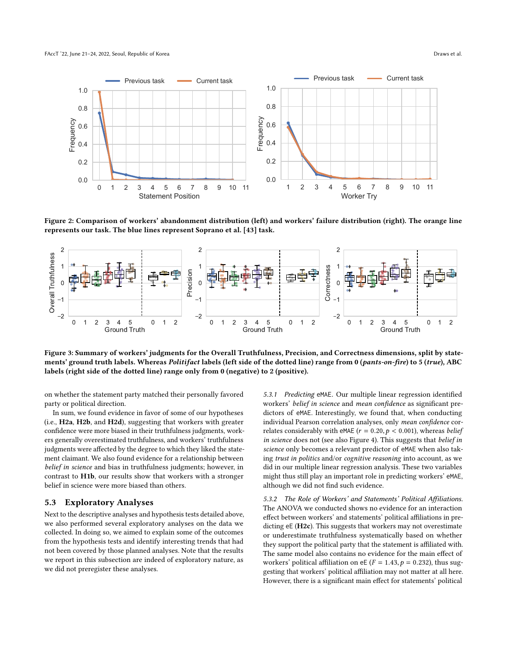<span id="page-7-0"></span>

Figure 2: Comparison of workers' abandonment distribution (left) and workers' failure distribution (right). The orange line represents our task. The blue lines represent Soprano et al. [\[43\]](#page-10-5) task.

<span id="page-7-1"></span>

Figure 3: Summary of workers' judgments for the Overall Truthfulness, Precision, and Correctness dimensions, split by statements' ground truth labels. Whereas Politifact labels (left side of the dotted line) range from 0 (pants-on-fire) to 5 (true), ABC labels (right side of the dotted line) range only from 0 (negative) to 2 (positive).

on whether the statement party matched their personally favored party or political direction.

In sum, we found evidence in favor of some of our hypotheses (i.e., H2a, H2b, and H2d), suggesting that workers with greater confidence were more biased in their truthfulness judgments, workers generally overestimated truthfulness, and workers' truthfulness judgments were affected by the degree to which they liked the statement claimant. We also found evidence for a relationship between belief in science and bias in truthfulness judgments; however, in contrast to H1b, our results show that workers with a stronger belief in science were more biased than others.

## 5.3 Exploratory Analyses

Next to the descriptive analyses and hypothesis tests detailed above, we also performed several exploratory analyses on the data we collected. In doing so, we aimed to explain some of the outcomes from the hypothesis tests and identify interesting trends that had not been covered by those planned analyses. Note that the results we report in this subsection are indeed of exploratory nature, as we did not preregister these analyses.

5.3.1 Predicting eMAE. Our multiple linear regression identified workers' belief in science and mean confidence as significant predictors of eMAE. Interestingly, we found that, when conducting individual Pearson correlation analyses, only mean confidence correlates considerably with eMAE ( $r = 0.20, p < 0.001$ ), whereas *belief* in science does not (see also Figure [4\)](#page-8-0). This suggests that belief in science only becomes a relevant predictor of eMAE when also taking trust in politics and/or cognitive reasoning into account, as we did in our multiple linear regression analysis. These two variables might thus still play an important role in predicting workers' eMAE, although we did not find such evidence.

5.3.2 The Role of Workers' and Statements' Political Affiliations. The ANOVA we conducted shows no evidence for an interaction effect between workers' and statements' political affiliations in predicting eE (H2c). This suggests that workers may not overestimate or underestimate truthfulness systematically based on whether they support the political party that the statement is affiliated with. The same model also contains no evidence for the main effect of workers' political affiliation on eE ( $F = 1.43$ ,  $p = 0.232$ ), thus suggesting that workers' political affiliation may not matter at all here. However, there is a significant main effect for statements' political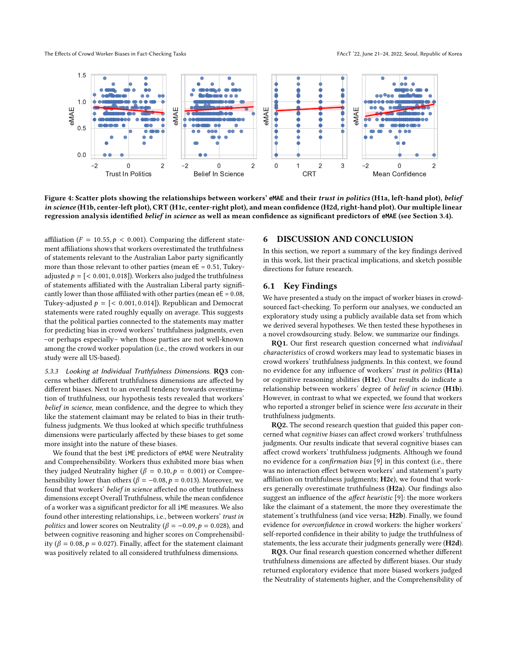The Effects of Crowd Worker Biases in Fact-Checking Tasks FACCT '22, June 21–24, 2022, Seoul, Republic of Korea

<span id="page-8-0"></span>

Figure 4: Scatter plots showing the relationships between workers' **eMAE** and their trust in politics (H1a, left-hand plot), belief in science (H1b, center-left plot), CRT (H1c, center-right plot), and mean confidence (H2d, right-hand plot). Our multiple linear regression analysis identified belief in science as well as mean confidence as significant predictors of **eMAE** (see Section [3.4\)](#page-4-0).

affiliation ( $F = 10.55, p < 0.001$ ). Comparing the different statement affiliations shows that workers overestimated the truthfulness of statements relevant to the Australian Labor party significantly more than those relevant to other parties (mean  $eE = 0.51$ , Tukeyadjusted  $p = \{ < 0.001, 0.018 \}$ . Workers also judged the truthfulness of statements affiliated with the Australian Liberal party significantly lower than those affiliated with other parties (mean  $eE = 0.08$ , Tukey-adjusted  $p = \{< 0.001, 0.014\}$ . Republican and Democrat statements were rated roughly equally on average. This suggests that the political parties connected to the statements may matter for predicting bias in crowd workers' truthfulness judgments, even –or perhaps especially– when those parties are not well-known among the crowd worker population (i.e., the crowd workers in our study were all US-based).

5.3.3 Looking at Individual Truthfulness Dimensions. RQ3 concerns whether different truthfulness dimensions are affected by different biases. Next to an overall tendency towards overestimation of truthfulness, our hypothesis tests revealed that workers' belief in science, mean confidence, and the degree to which they like the statement claimant may be related to bias in their truthfulness judgments. We thus looked at which specific truthfulness dimensions were particularly affected by these biases to get some more insight into the nature of these biases.

We found that the best iME predictors of eMAE were Neutrality and Comprehensibility. Workers thus exhibited more bias when they judged Neutrality higher ( $\beta = 0.10, p = 0.001$ ) or Comprehensibility lower than others ( $\beta = -0.08$ ,  $p = 0.013$ ). Moreover, we found that workers' belief in science affected no other truthfulness dimensions except Overall Truthfulness, while the mean confidence of a worker was a significant predictor for all iME measures. We also found other interesting relationships, i.e., between workers' trust in *politics* and lower scores on Neutrality ( $\beta = -0.09$ ,  $p = 0.028$ ), and between cognitive reasoning and higher scores on Comprehensibility ( $\beta = 0.08$ ,  $p = 0.027$ ). Finally, affect for the statement claimant was positively related to all considered truthfulness dimensions.

#### 6 DISCUSSION AND CONCLUSION

In this section, we report a summary of the key findings derived in this work, list their practical implications, and sketch possible directions for future research.

# 6.1 Key Findings

We have presented a study on the impact of worker biases in crowdsourced fact-checking. To perform our analyses, we conducted an exploratory study using a publicly available data set from which we derived several hypotheses. We then tested these hypotheses in a novel crowdsourcing study. Below, we summarize our findings.

RQ1. Our first research question concerned what individual characteristics of crowd workers may lead to systematic biases in crowd workers' truthfulness judgments. In this context, we found no evidence for any influence of workers' trust in politics (H1a) or cognitive reasoning abilities (H1c). Our results do indicate a relationship between workers' degree of belief in science (H1b). However, in contrast to what we expected, we found that workers who reported a stronger belief in science were *less accurate* in their truthfulness judgments.

RQ2. The second research question that guided this paper concerned what cognitive biases can affect crowd workers' truthfulness judgments. Our results indicate that several cognitive biases can affect crowd workers' truthfulness judgments. Although we found no evidence for a confirmation bias [\[9\]](#page-9-1) in this context (i.e., there was no interaction effect between workers' and statement's party affiliation on truthfulness judgments; H2c), we found that workers generally overestimate truthfulness (H2a). Our findings also suggest an influence of the affect heuristic [\[9\]](#page-9-1): the more workers like the claimant of a statement, the more they overestimate the statement's truthfulness (and vice versa; H2b). Finally, we found evidence for overconfidence in crowd workers: the higher workers' self-reported confidence in their ability to judge the truthfulness of statements, the less accurate their judgments generally were (H2d).

RQ3. Our final research question concerned whether different truthfulness dimensions are affected by different biases. Our study returned exploratory evidence that more biased workers judged the Neutrality of statements higher, and the Comprehensibility of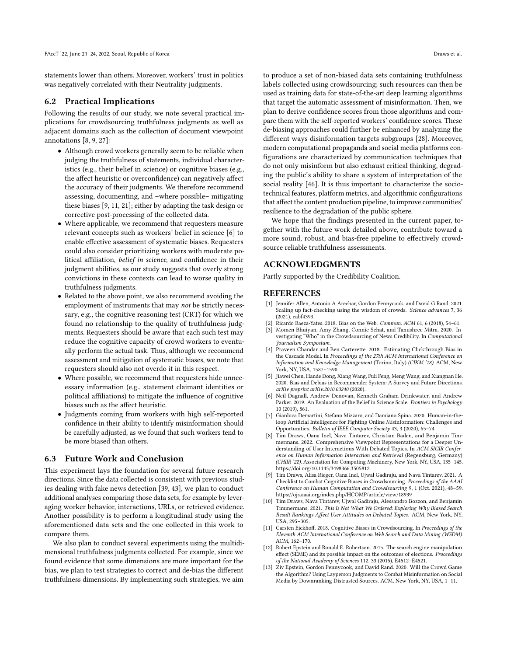statements lower than others. Moreover, workers' trust in politics was negatively correlated with their Neutrality judgments.

#### 6.2 Practical Implications

Following the results of our study, we note several practical implications for crowdsourcing truthfulness judgments as well as adjacent domains such as the collection of document viewpoint annotations [\[8,](#page-9-12) [9,](#page-9-1) [27\]](#page-10-36):

- Although crowd workers generally seem to be reliable when judging the truthfulness of statements, individual characteristics (e.g., their belief in science) or cognitive biases (e.g., the affect heuristic or overconfidence) can negatively affect the accuracy of their judgments. We therefore recommend assessing, documenting, and –where possible– mitigating these biases [\[9,](#page-9-1) [11,](#page-9-2) [21\]](#page-10-13); either by adapting the task design or corrective post-processing of the collected data.
- Where applicable, we recommend that requesters measure relevant concepts such as workers' belief in science [\[6\]](#page-9-11) to enable effective assessment of systematic biases. Requesters could also consider prioritizing workers with moderate political affiliation, belief in science, and confidence in their judgment abilities, as our study suggests that overly strong convictions in these contexts can lead to worse quality in truthfulness judgments.
- Related to the above point, we also recommend avoiding the employment of instruments that may not be strictly necessary, e.g., the cognitive reasoning test (CRT) for which we found no relationship to the quality of truthfulness judgments. Requesters should be aware that each such test may reduce the cognitive capacity of crowd workers to eventually perform the actual task. Thus, although we recommend assessment and mitigation of systematic biases, we note that requesters should also not overdo it in this respect.
- Where possible, we recommend that requesters hide unnecessary information (e.g., statement claimant identities or political affiliations) to mitigate the influence of cognitive biases such as the affect heuristic.
- Judgments coming from workers with high self-reported confidence in their ability to identify misinformation should be carefully adjusted, as we found that such workers tend to be more biased than others.

#### 6.3 Future Work and Conclusion

This experiment lays the foundation for several future research directions. Since the data collected is consistent with previous studies dealing with fake news detection [\[39,](#page-10-3) [43\]](#page-10-5), we plan to conduct additional analyses comparing those data sets, for example by leveraging worker behavior, interactions, URLs, or retrieved evidence. Another possibility is to perform a longitudinal study using the aforementioned data sets and the one collected in this work to compare them.

We also plan to conduct several experiments using the multidimensional truthfulness judgments collected. For example, since we found evidence that some dimensions are more important for the bias, we plan to test strategies to correct and de-bias the different truthfulness dimensions. By implementing such strategies, we aim

to produce a set of non-biased data sets containing truthfulness labels collected using crowdsourcing; such resources can then be used as training data for state-of-the-art deep learning algorithms that target the automatic assessment of misinformation. Then, we plan to derive confidence scores from those algorithms and compare them with the self-reported workers' confidence scores. These de-biasing approaches could further be enhanced by analyzing the different ways disinformation targets subgroups [\[28\]](#page-10-37). Moreover, modern computational propaganda and social media platforms configurations are characterized by communication techniques that do not only misinform but also exhaust critical thinking, degrading the public's ability to share a system of interpretation of the social reality [\[46\]](#page-10-38). It is thus important to characterize the sociotechnical features, platform metrics, and algorithmic configurations that affect the content production pipeline, to improve communities' resilience to the degradation of the public sphere.

We hope that the findings presented in the current paper, together with the future work detailed above, contribute toward a more sound, robust, and bias-free pipeline to effectively crowdsource reliable truthfulness assessments.

# ACKNOWLEDGMENTS

Partly supported by the Credibility Coalition.

#### REFERENCES

- <span id="page-9-0"></span>[1] Jennifer Allen, Antonio A Arechar, Gordon Pennycook, and David G Rand. 2021. Scaling up fact-checking using the wisdom of crowds. Science advances 7, 36 (2021), eabf4393.
- <span id="page-9-6"></span>Ricardo Baeza-Yates. 2018. Bias on the Web. Commun. ACM 61, 6 (2018), 54-61.
- <span id="page-9-5"></span>[3] Momen Bhuiyan, Amy Zhang, Connie Sehat, and Tanushree Mitra. 2020. Investigating "Who" in the Crowdsourcing of News Credibility. In Computational Journalism Symposium.
- <span id="page-9-8"></span>[4] Praveen Chandar and Ben Carterette. 2018. Estimating Clickthrough Bias in the Cascade Model. In Proceedings of the 27th ACM International Conference on Information and Knowledge Management (Torino, Italy) (CIKM '18). ACM, New York, NY, USA, 1587–1590.
- <span id="page-9-7"></span>[5] Jiawei Chen, Hande Dong, Xiang Wang, Fuli Feng, Meng Wang, and Xiangnan He. 2020. Bias and Debias in Recommender System: A Survey and Future Directions. arXiv preprint arXiv:2010.03240 (2020).
- <span id="page-9-11"></span>[6] Neil Dagnall, Andrew Denovan, Kenneth Graham Drinkwater, and Andrew Parker. 2019. An Evaluation of the Belief in Science Scale. Frontiers in Psychology 10 (2019), 861.
- <span id="page-9-3"></span>[7] Gianluca Demartini, Stefano Mizzaro, and Damiano Spina. 2020. Human-in-theloop Artificial Intelligence for Fighting Online Misinformation: Challenges and Opportunities. Bulletin of IEEE Computer Society 43, 3 (2020), 65–74.
- <span id="page-9-12"></span>[8] Tim Draws, Oana Inel, Nava Tintarev, Christian Baden, and Benjamin Timmermans. 2022. Comprehensive Viewpoint Representations for a Deeper Understanding of User Interactions With Debated Topics. In ACM SIGIR Conference on Human Information Interaction and Retrieval (Regensburg, Germany) (CHIIR '22). Association for Computing Machinery, New York, NY, USA, 135–145. <https://doi.org/10.1145/3498366.3505812>
- <span id="page-9-1"></span>[9] Tim Draws, Alisa Rieger, Oana Inel, Ujwal Gadiraju, and Nava Tintarev. 2021. A Checklist to Combat Cognitive Biases in Crowdsourcing. Proceedings of the AAAI Conference on Human Computation and Crowdsourcing 9, 1 (Oct. 2021), 48–59. <https://ojs.aaai.org/index.php/HCOMP/article/view/18939>
- <span id="page-9-9"></span>[10] Tim Draws, Nava Tintarev, Ujwal Gadiraju, Alessandro Bozzon, and Benjamin Timmermans. 2021. This Is Not What We Ordered: Exploring Why Biased Search Result Rankings Affect User Attitudes on Debated Topics. ACM, New York, NY, USA, 295–305.
- <span id="page-9-2"></span>[11] Carsten Eickhoff. 2018. Cognitive Biases in Crowdsourcing. In Proceedings of the Eleventh ACM International Conference on Web Search and Data Mining (WSDM). ACM, 162–170.
- <span id="page-9-10"></span>[12] Robert Epstein and Ronald E. Robertson. 2015. The search engine manipulation effect (SEME) and its possible impact on the outcomes of elections. Proceedings of the National Academy of Sciences 112, 33 (2015), E4512–E4521.
- <span id="page-9-4"></span>[13] Ziv Epstein, Gordon Pennycook, and David Rand. 2020. Will the Crowd Game the Algorithm? Using Layperson Judgments to Combat Misinformation on Social Media by Downranking Distrusted Sources. ACM, New York, NY, USA, 1–11.